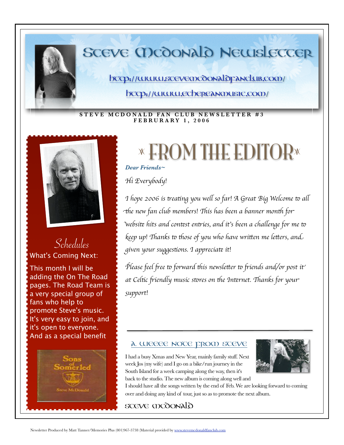

## SCEVE MCOONALO NEWSLETTER

http://www.stevemcdonaldpanclub.com/

http://www.ethereanmusic.com/

#### STEVE MCDONALD FAN CLUB NEWSLETTER #3 **F E B R U R A R Y 1 , 2 0 0 6**



### Schedules What's Coming Next:

This month I will be adding the On The Road pages. The Road Team is a very special group of fans who help to promote Steve's music. It's very easy to join, and it's open to everyone. And as a special benefit



# **x FROM THE EDITOR\***

#### *Dear Friends~*

#### H*i Everybody!*

*I* hope 2006 is treating you well so far! A Great Big Welcome to all '*e new fan club members!* )*is has been a banner mon*\* *fo*r *website hits and contest entries, and it's been a challenge for me to keep up! Thanks to those of you who have written me letters, and* given your suggestions. I appreciate it!

P*lease feel* 4*ee* & *forward* \**is newsle*0*er* & 4*iends and/or post i*t *at Cel*\$*c* 4*iendly music s*&*res on* \**e In*-*rnet.* )*anks for you*r s*upport!*

#### A WEEEE Note from Steve

I had a busy Xmas and New Year, mainly family stuff. Next week Jos (my wife) and I go on a bike/run journey in the South Island for a week camping along the way, then it's back to the studio. The new album is coming along well and



I should have all the songs written by the end of Feb. We are looking forward to coming over and doing any kind of tour, just so as to promote the next album.

STEVE MCDONALD